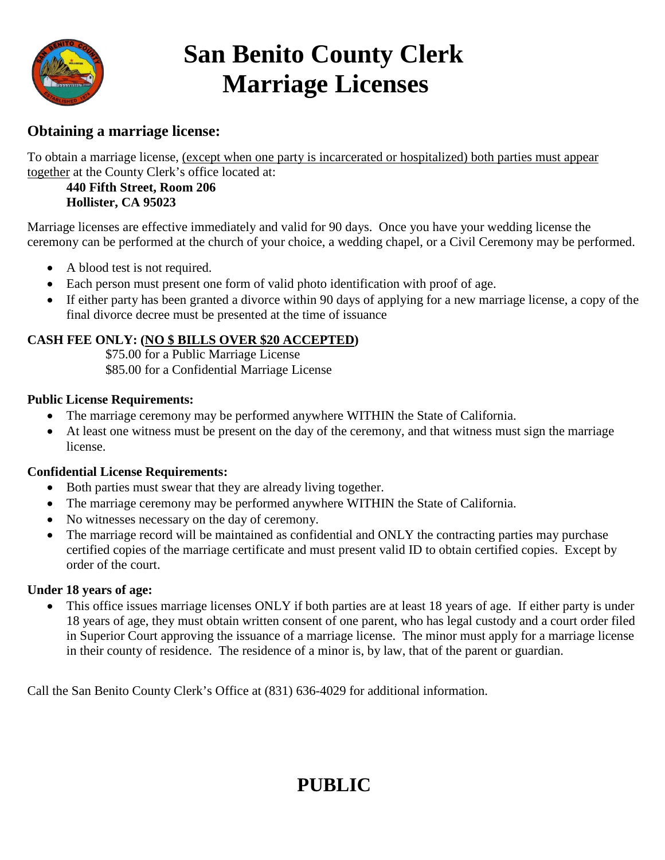

# **San Benito County Clerk Marriage Licenses**

# **Obtaining a marriage license:**

To obtain a marriage license, (except when one party is incarcerated or hospitalized) both parties must appear together at the County Clerk's office located at:

#### **440 Fifth Street, Room 206 Hollister, CA 95023**

Marriage licenses are effective immediately and valid for 90 days. Once you have your wedding license the ceremony can be performed at the church of your choice, a wedding chapel, or a Civil Ceremony may be performed.

- A blood test is not required.
- Each person must present one form of valid photo identification with proof of age.
- If either party has been granted a divorce within 90 days of applying for a new marriage license, a copy of the final divorce decree must be presented at the time of issuance

#### **CASH FEE ONLY: (NO \$ BILLS OVER \$20 ACCEPTED)**

 \$75.00 for a Public Marriage License \$85.00 for a Confidential Marriage License

#### **Public License Requirements:**

- The marriage ceremony may be performed anywhere WITHIN the State of California.
- At least one witness must be present on the day of the ceremony, and that witness must sign the marriage license.

#### **Confidential License Requirements:**

- Both parties must swear that they are already living together.
- The marriage ceremony may be performed anywhere WITHIN the State of California.
- No witnesses necessary on the day of ceremony.
- The marriage record will be maintained as confidential and ONLY the contracting parties may purchase certified copies of the marriage certificate and must present valid ID to obtain certified copies. Except by order of the court.

#### **Under 18 years of age:**

• This office issues marriage licenses ONLY if both parties are at least 18 years of age. If either party is under 18 years of age, they must obtain written consent of one parent, who has legal custody and a court order filed in Superior Court approving the issuance of a marriage license. The minor must apply for a marriage license in their county of residence. The residence of a minor is, by law, that of the parent or guardian.

Call the San Benito County Clerk's Office at (831) 636-4029 for additional information.

# **PUBLIC**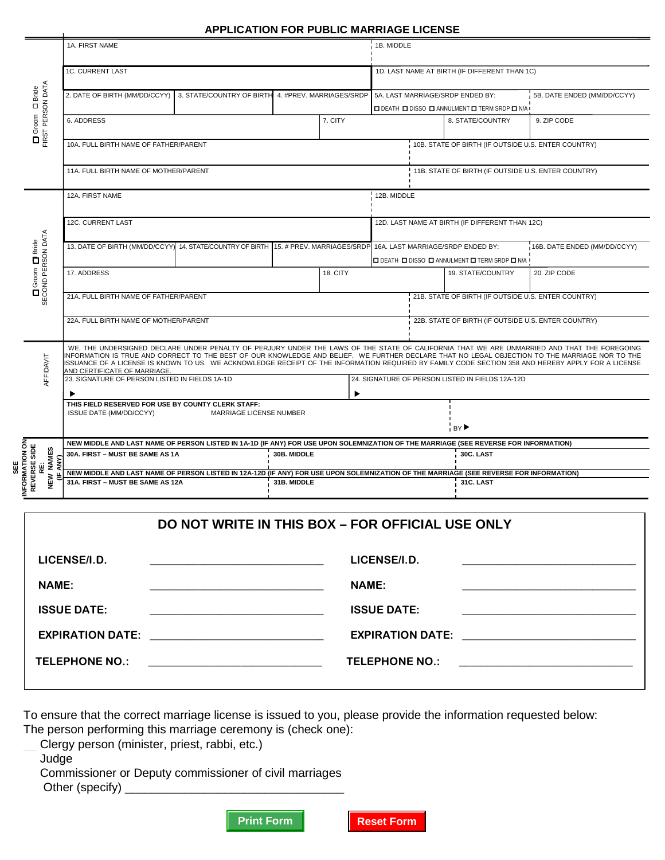#### **APPLICATION FOR PUBLIC MARRIAGE LICENSE**

|                                        |                                                     | 1A. FIRST NAME                                                                                                                         |                            |             |                            | 1B. MIDDLE                                             |  |                                                     |                                                                                                                                                                                                                                                                                                     |  |
|----------------------------------------|-----------------------------------------------------|----------------------------------------------------------------------------------------------------------------------------------------|----------------------------|-------------|----------------------------|--------------------------------------------------------|--|-----------------------------------------------------|-----------------------------------------------------------------------------------------------------------------------------------------------------------------------------------------------------------------------------------------------------------------------------------------------------|--|
|                                        |                                                     |                                                                                                                                        |                            |             |                            |                                                        |  |                                                     |                                                                                                                                                                                                                                                                                                     |  |
|                                        |                                                     | <b>1C. CURRENT LAST</b>                                                                                                                |                            |             |                            | 1D. LAST NAME AT BIRTH (IF DIFFERENT THAN 1C)          |  |                                                     |                                                                                                                                                                                                                                                                                                     |  |
|                                        | <b>D</b> Groom D Bride<br>FIRST PERSON DATA         |                                                                                                                                        |                            |             |                            |                                                        |  |                                                     |                                                                                                                                                                                                                                                                                                     |  |
|                                        |                                                     | 2. DATE OF BIRTH (MM/DD/CCYY)<br>3. STATE/COUNTRY OF BIRTH 4. #PREV. MARRIAGES/SRDP                                                    |                            |             |                            | 5A. LAST MARRIAGE/SRDP ENDED BY:                       |  |                                                     | 5B. DATE ENDED (MM/DD/CCYY)                                                                                                                                                                                                                                                                         |  |
|                                        |                                                     |                                                                                                                                        |                            |             |                            | <b>□ DEATH □ DISSO □ ANNULMENT □ TERM SRDP □ N/A I</b> |  |                                                     |                                                                                                                                                                                                                                                                                                     |  |
|                                        |                                                     | 6. ADDRESS                                                                                                                             |                            |             | 7. CITY                    |                                                        |  | 8. STATE/COUNTRY                                    | 9. ZIP CODE                                                                                                                                                                                                                                                                                         |  |
|                                        |                                                     |                                                                                                                                        |                            |             |                            |                                                        |  |                                                     |                                                                                                                                                                                                                                                                                                     |  |
|                                        |                                                     | 10A. FULL BIRTH NAME OF FATHER/PARENT                                                                                                  |                            |             |                            |                                                        |  | 10B. STATE OF BIRTH (IF OUTSIDE U.S. ENTER COUNTRY) |                                                                                                                                                                                                                                                                                                     |  |
|                                        |                                                     |                                                                                                                                        |                            |             |                            |                                                        |  |                                                     |                                                                                                                                                                                                                                                                                                     |  |
|                                        |                                                     | 11A. FULL BIRTH NAME OF MOTHER/PARENT                                                                                                  |                            |             |                            |                                                        |  | 11B. STATE OF BIRTH (IF OUTSIDE U.S. ENTER COUNTRY) |                                                                                                                                                                                                                                                                                                     |  |
|                                        |                                                     |                                                                                                                                        |                            |             |                            |                                                        |  |                                                     |                                                                                                                                                                                                                                                                                                     |  |
|                                        |                                                     | 12A. FIRST NAME                                                                                                                        |                            |             |                            | 12B. MIDDLE                                            |  |                                                     |                                                                                                                                                                                                                                                                                                     |  |
|                                        |                                                     |                                                                                                                                        |                            |             |                            |                                                        |  |                                                     |                                                                                                                                                                                                                                                                                                     |  |
|                                        |                                                     | 12C. CURRENT LAST                                                                                                                      |                            |             |                            |                                                        |  | 12D. LAST NAME AT BIRTH (IF DIFFERENT THAN 12C)     |                                                                                                                                                                                                                                                                                                     |  |
|                                        |                                                     |                                                                                                                                        |                            |             |                            |                                                        |  |                                                     |                                                                                                                                                                                                                                                                                                     |  |
|                                        |                                                     | 13. DATE OF BIRTH (MM/DD/CCYY)                                                                                                         | 14. STATE/COUNTRY OF BIRTH |             | 15. # PREV. MARRIAGES/SRDP |                                                        |  | 16A. LAST MARRIAGE/SRDP ENDED BY:                   | 16B. DATE ENDED (MM/DD/CCYY)                                                                                                                                                                                                                                                                        |  |
|                                        |                                                     |                                                                                                                                        |                            |             |                            | <b>□ DEATH □ DISSO □ ANNULMENT □ TERM SRDP □ N/A I</b> |  |                                                     |                                                                                                                                                                                                                                                                                                     |  |
|                                        |                                                     | 17. ADDRESS                                                                                                                            |                            |             | 18. CITY                   |                                                        |  | 19. STATE/COUNTRY                                   | 20. ZIP CODE                                                                                                                                                                                                                                                                                        |  |
|                                        | <b>D</b> Groom <b>D</b> Bride<br>SECOND PERSON DATA |                                                                                                                                        |                            |             |                            |                                                        |  |                                                     |                                                                                                                                                                                                                                                                                                     |  |
|                                        |                                                     | 21A. FULL BIRTH NAME OF FATHER/PARENT                                                                                                  |                            |             |                            | 21B. STATE OF BIRTH (IF OUTSIDE U.S. ENTER COUNTRY)    |  |                                                     |                                                                                                                                                                                                                                                                                                     |  |
|                                        |                                                     |                                                                                                                                        |                            |             |                            |                                                        |  |                                                     |                                                                                                                                                                                                                                                                                                     |  |
|                                        |                                                     | 22A. FULL BIRTH NAME OF MOTHER/PARENT                                                                                                  |                            |             |                            |                                                        |  | 22B. STATE OF BIRTH (IF OUTSIDE U.S. ENTER COUNTRY) |                                                                                                                                                                                                                                                                                                     |  |
|                                        |                                                     |                                                                                                                                        |                            |             |                            |                                                        |  |                                                     |                                                                                                                                                                                                                                                                                                     |  |
|                                        |                                                     |                                                                                                                                        |                            |             |                            |                                                        |  |                                                     | WE, THE UNDERSIGNED DECLARE UNDER PENALTY OF PERJURY UNDER THE LAWS OF THE STATE OF CALIFORNIA THAT WE ARE UNMARRIED AND THAT THE FOREGOING                                                                                                                                                         |  |
|                                        | AFFIDAVIT                                           |                                                                                                                                        |                            |             |                            |                                                        |  |                                                     | INFORMATION IS TRUE AND CORRECT TO THE BEST OF OUR KNOWLEDGE AND BELIEF. WE FURTHER DECLARE THAT NO LEGAL OBJECTION TO THE MARRIAGE NOR TO THE<br>SSUANCE OF A LICENSE IS KNOWN TO US. WE ACKNOWLEDGE RECEIPT OF THE INFORMATION REQUIRED BY FAMILY CODE SECTION 358 AND HEREBY APPLY FOR A LICENSE |  |
|                                        |                                                     | AND CERTIFICATE OF MARRIAGE.<br>23. SIGNATURE OF PERSON LISTED IN FIELDS 1A-1D                                                         |                            |             |                            | 24. SIGNATURE OF PERSON LISTED IN FIELDS 12A-12D       |  |                                                     |                                                                                                                                                                                                                                                                                                     |  |
|                                        |                                                     |                                                                                                                                        |                            |             |                            |                                                        |  |                                                     |                                                                                                                                                                                                                                                                                                     |  |
|                                        |                                                     | ▶<br>THIS FIELD RESERVED FOR USE BY COUNTY CLERK STAFF:                                                                                |                            |             | $\ddot{\phantom{1}}$       |                                                        |  |                                                     |                                                                                                                                                                                                                                                                                                     |  |
|                                        |                                                     | ISSUE DATE (MM/DD/CCYY)<br>MARRIAGE LICENSE NUMBER                                                                                     |                            |             |                            |                                                        |  |                                                     |                                                                                                                                                                                                                                                                                                     |  |
|                                        |                                                     |                                                                                                                                        |                            |             |                            | BY ▶                                                   |  |                                                     |                                                                                                                                                                                                                                                                                                     |  |
|                                        |                                                     | NEW MIDDLE AND LAST NAME OF PERSON LISTED IN 1A-1D (IF ANY) FOR USE UPON SOLEMNIZATION OF THE MARRIAGE (SEE REVERSE FOR INFORMATION)   |                            |             |                            |                                                        |  |                                                     |                                                                                                                                                                                                                                                                                                     |  |
|                                        |                                                     | 30A. FIRST - MUST BE SAME AS 1A                                                                                                        |                            | 30B. MIDDLE |                            |                                                        |  | 30C. LAST                                           |                                                                                                                                                                                                                                                                                                     |  |
| SE E                                   | <b>NAMES</b><br>ANY)<br>Ŵ                           |                                                                                                                                        |                            |             |                            |                                                        |  |                                                     |                                                                                                                                                                                                                                                                                                     |  |
|                                        | œ<br>NEW                                            | NEW MIDDLE AND LAST NAME OF PERSON LISTED IN 12A-12D (IF ANY) FOR USE UPON SOLEMNIZATION OF THE MARRIAGE (SEE REVERSE FOR INFORMATION) |                            |             |                            |                                                        |  |                                                     |                                                                                                                                                                                                                                                                                                     |  |
| <b>INFORMATION ON<br/>REVERSE SIDE</b> |                                                     | 31A. FIRST - MUST BE SAME AS 12A                                                                                                       |                            | 31B. MIDDLE |                            |                                                        |  | 31C. LAST                                           |                                                                                                                                                                                                                                                                                                     |  |
|                                        |                                                     |                                                                                                                                        |                            |             |                            |                                                        |  |                                                     |                                                                                                                                                                                                                                                                                                     |  |

|                                                                                                                       | DO NOT WRITE IN THIS BOX - FOR OFFICIAL USE ONLY |
|-----------------------------------------------------------------------------------------------------------------------|--------------------------------------------------|
| LICENSE/I.D.                                                                                                          | LICENSE/I.D.                                     |
|                                                                                                                       |                                                  |
| <b>NAME:</b>                                                                                                          | <b>NAME:</b>                                     |
|                                                                                                                       |                                                  |
| <b>ISSUE DATE:</b>                                                                                                    | <b>ISSUE DATE:</b>                               |
| <u> 1989 - Johann Harry Harry Harry Harry Harry Harry Harry Harry Harry Harry Harry Harry Harry Harry Harry Harry</u> |                                                  |
| EXPIRATION DATE: _________________________________                                                                    |                                                  |
| TELEPHONE NO.:                                                                                                        | TELEPHONE NO.:                                   |
| <u> 1980 - Johann Barn, mars eta bainar eta baina eta baina eta baina eta baina eta baina eta baina eta baina e</u>   | <u> 1980 - Jan Samuel Barbara, margaret e</u>    |
|                                                                                                                       |                                                  |

To ensure that the correct marriage license is issued to you, please provide the information requested below:

The person performing this marriage ceremony is (check one):

Clergy person (minister, priest, rabbi, etc.)

\_\_ Judge

\_\_ Commissioner or Deputy commissioner of civil marriages

Other (specify) \_



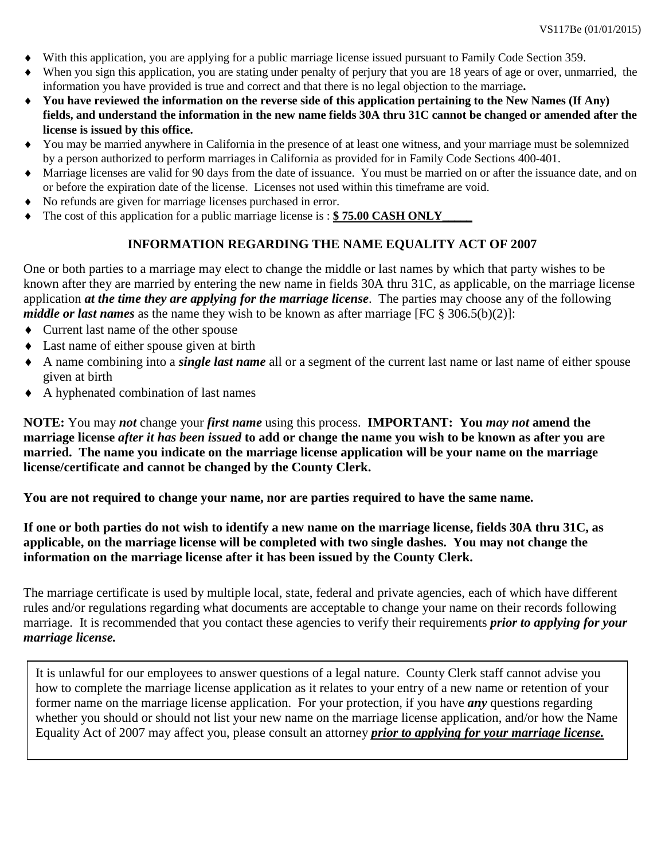- With this application, you are applying for a public marriage license issued pursuant to Family Code Section 359.
- ♦ When you sign this application, you are stating under penalty of perjury that you are 18 years of age or over, unmarried, the information you have provided is true and correct and that there is no legal objection to the marriage**.**
- ♦ **You have reviewed the information on the reverse side of this application pertaining to the New Names (If Any) fields, and understand the information in the new name fields 30A thru 31C cannot be changed or amended after the license is issued by this office.**
- ♦ You may be married anywhere in California in the presence of at least one witness, and your marriage must be solemnized by a person authorized to perform marriages in California as provided for in Family Code Sections 400-401.
- ♦ Marriage licenses are valid for 90 days from the date of issuance. You must be married on or after the issuance date, and on or before the expiration date of the license. Licenses not used within this timeframe are void.
- ♦ No refunds are given for marriage licenses purchased in error.
- The cost of this application for a public marriage license is : **\$75.00 CASH ONLY**

#### **INFORMATION REGARDING THE NAME EQUALITY ACT OF 2007**

One or both parties to a marriage may elect to change the middle or last names by which that party wishes to be known after they are married by entering the new name in fields 30A thru 31C, as applicable, on the marriage license application *at the time they are applying for the marriage license*. The parties may choose any of the following *middle or last names* as the name they wish to be known as after marriage [FC § 306.5(b)(2)]:

- ♦ Current last name of the other spouse
- ♦ Last name of either spouse given at birth
- ♦ A name combining into a *single last name* all or a segment of the current last name or last name of either spouse given at birth
- ♦ A hyphenated combination of last names

**NOTE:** You may *not* change your *first name* using this process. **IMPORTANT: You** *may not* **amend the marriage license** *after it has been issued* **to add or change the name you wish to be known as after you are married. The name you indicate on the marriage license application will be your name on the marriage license/certificate and cannot be changed by the County Clerk.**

**You are not required to change your name, nor are parties required to have the same name.**

**If one or both parties do not wish to identify a new name on the marriage license, fields 30A thru 31C, as applicable, on the marriage license will be completed with two single dashes. You may not change the information on the marriage license after it has been issued by the County Clerk.**

The marriage certificate is used by multiple local, state, federal and private agencies, each of which have different rules and/or regulations regarding what documents are acceptable to change your name on their records following marriage. It is recommended that you contact these agencies to verify their requirements *prior to applying for your marriage license.*

It is unlawful for our employees to answer questions of a legal nature. County Clerk staff cannot advise you how to complete the marriage license application as it relates to your entry of a new name or retention of your former name on the marriage license application. For your protection, if you have *any* questions regarding whether you should or should not list your new name on the marriage license application, and/or how the Name Equality Act of 2007 may affect you, please consult an attorney *prior to applying for your marriage license.*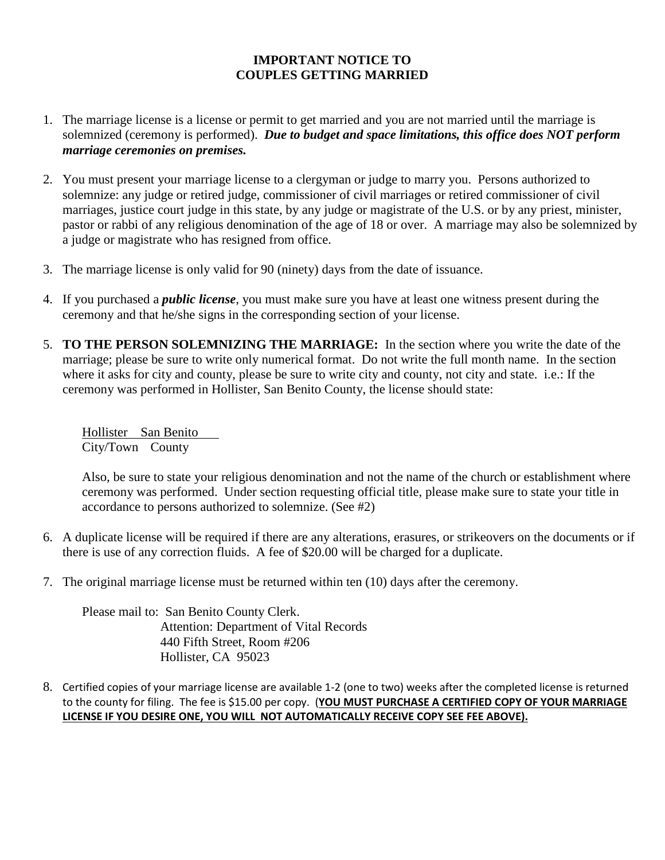#### **IMPORTANT NOTICE TO COUPLES GETTING MARRIED**

- 1. The marriage license is a license or permit to get married and you are not married until the marriage is solemnized (ceremony is performed). *Due to budget and space limitations, this office does NOT perform marriage ceremonies on premises.*
- 2. You must present your marriage license to a clergyman or judge to marry you. Persons authorized to solemnize: any judge or retired judge, commissioner of civil marriages or retired commissioner of civil marriages, justice court judge in this state, by any judge or magistrate of the U.S. or by any priest, minister, pastor or rabbi of any religious denomination of the age of 18 or over. A marriage may also be solemnized by a judge or magistrate who has resigned from office.
- 3. The marriage license is only valid for 90 (ninety) days from the date of issuance.
- 4. If you purchased a *public license*, you must make sure you have at least one witness present during the ceremony and that he/she signs in the corresponding section of your license.
- 5. **TO THE PERSON SOLEMNIZING THE MARRIAGE:** In the section where you write the date of the marriage; please be sure to write only numerical format. Do not write the full month name. In the section where it asks for city and county, please be sure to write city and county, not city and state. i.e.: If the ceremony was performed in Hollister, San Benito County, the license should state:

Hollister San Benito City/Town County

Also, be sure to state your religious denomination and not the name of the church or establishment where ceremony was performed. Under section requesting official title, please make sure to state your title in accordance to persons authorized to solemnize. (See #2)

- 6. A duplicate license will be required if there are any alterations, erasures, or strikeovers on the documents or if there is use of any correction fluids. A fee of \$20.00 will be charged for a duplicate.
- 7. The original marriage license must be returned within ten (10) days after the ceremony.

Please mail to: San Benito County Clerk. Attention: Department of Vital Records 440 Fifth Street, Room #206 Hollister, CA 95023

8. Certified copies of your marriage license are available 1-2 (one to two) weeks after the completed license is returned to the county for filing. The fee is \$15.00 per copy. (**YOU MUST PURCHASE A CERTIFIED COPY OF YOUR MARRIAGE LICENSE IF YOU DESIRE ONE, YOU WILL NOT AUTOMATICALLY RECEIVE COPY SEE FEE ABOVE).**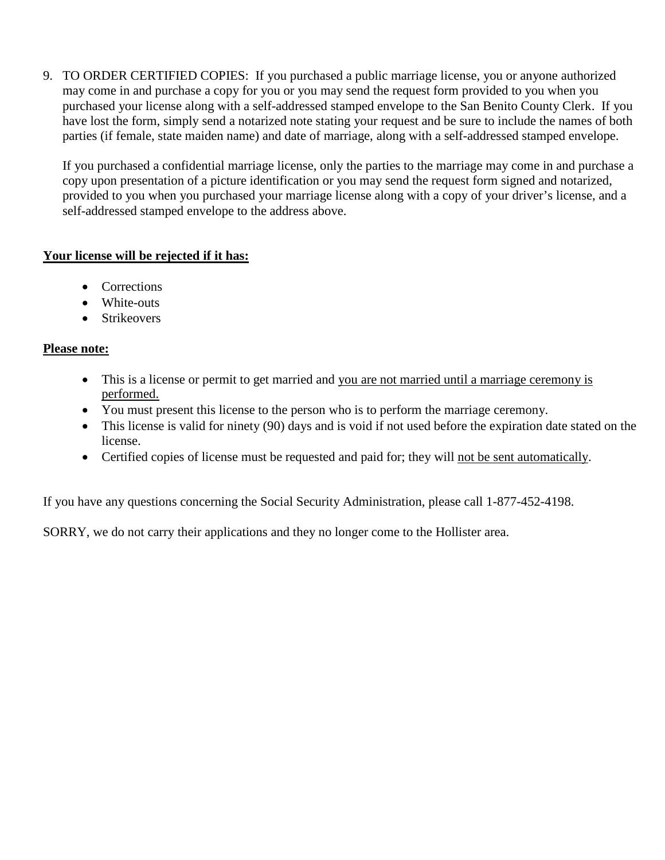9. TO ORDER CERTIFIED COPIES: If you purchased a public marriage license, you or anyone authorized may come in and purchase a copy for you or you may send the request form provided to you when you purchased your license along with a self-addressed stamped envelope to the San Benito County Clerk. If you have lost the form, simply send a notarized note stating your request and be sure to include the names of both parties (if female, state maiden name) and date of marriage, along with a self-addressed stamped envelope.

If you purchased a confidential marriage license, only the parties to the marriage may come in and purchase a copy upon presentation of a picture identification or you may send the request form signed and notarized, provided to you when you purchased your marriage license along with a copy of your driver's license, and a self-addressed stamped envelope to the address above.

#### **Your license will be rejected if it has:**

- Corrections
- White-outs
- Strikeovers

#### **Please note:**

- This is a license or permit to get married and you are not married until a marriage ceremony is performed.
- You must present this license to the person who is to perform the marriage ceremony.
- This license is valid for ninety (90) days and is void if not used before the expiration date stated on the license.
- Certified copies of license must be requested and paid for; they will not be sent automatically.

If you have any questions concerning the Social Security Administration, please call 1-877-452-4198.

SORRY, we do not carry their applications and they no longer come to the Hollister area.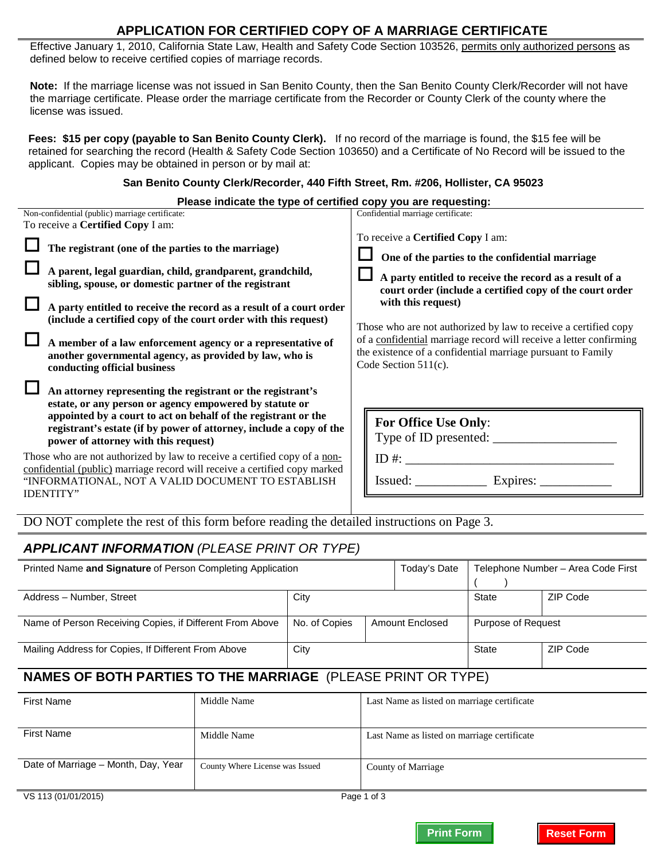#### **APPLICATION FOR CERTIFIED COPY OF A MARRIAGE CERTIFICATE**

Effective January 1, 2010, California State Law, Health and Safety Code Section 103526, permits only authorized persons as defined below to receive certified copies of marriage records.

**Note:** If the marriage license was not issued in San Benito County, then the San Benito County Clerk/Recorder will not have the marriage certificate. Please order the marriage certificate from the Recorder or County Clerk of the county where the license was issued.

**Fees: \$15 per copy (payable to San Benito County Clerk).** If no record of the marriage is found, the \$15 fee will be retained for searching the record (Health & Safety Code Section 103650) and a Certificate of No Record will be issued to the applicant. Copies may be obtained in person or by mail at:

#### **San Benito County Clerk/Recorder, 440 Fifth Street, Rm. #206, Hollister, CA 95023**

| Please indicate the type of certified copy you are requesting:                                                                                                                                                                                                                                                                                                                                                                                                                 |                                                                                                                                                                                                                                                                                                                                                                                                                                                                          |
|--------------------------------------------------------------------------------------------------------------------------------------------------------------------------------------------------------------------------------------------------------------------------------------------------------------------------------------------------------------------------------------------------------------------------------------------------------------------------------|--------------------------------------------------------------------------------------------------------------------------------------------------------------------------------------------------------------------------------------------------------------------------------------------------------------------------------------------------------------------------------------------------------------------------------------------------------------------------|
| Non-confidential (public) marriage certificate:<br>To receive a <b>Certified Copy</b> I am:                                                                                                                                                                                                                                                                                                                                                                                    | Confidential marriage certificate:                                                                                                                                                                                                                                                                                                                                                                                                                                       |
| The registrant (one of the parties to the marriage)<br>A parent, legal guardian, child, grandparent, grandchild,<br>sibling, spouse, or domestic partner of the registrant<br>A party entitled to receive the record as a result of a court order<br>(include a certified copy of the court order with this request)<br>A member of a law enforcement agency or a representative of<br>another governmental agency, as provided by law, who is<br>conducting official business | To receive a <b>Certified Copy</b> I am:<br>One of the parties to the confidential marriage<br>A party entitled to receive the record as a result of a<br>court order (include a certified copy of the court order<br>with this request)<br>Those who are not authorized by law to receive a certified copy<br>of a confidential marriage record will receive a letter confirming<br>the existence of a confidential marriage pursuant to Family<br>Code Section 511(c). |
| An attorney representing the registrant or the registrant's<br>estate, or any person or agency empowered by statute or<br>appointed by a court to act on behalf of the registrant or the<br>registrant's estate (if by power of attorney, include a copy of the<br>power of attorney with this request)                                                                                                                                                                        | <b>For Office Use Only:</b><br>Type of ID presented:                                                                                                                                                                                                                                                                                                                                                                                                                     |
| Those who are not authorized by law to receive a certified copy of a non-<br>confidential (public) marriage record will receive a certified copy marked<br>"INFORMATIONAL, NOT A VALID DOCUMENT TO ESTABLISH<br><b>IDENTITY"</b>                                                                                                                                                                                                                                               | ID #: $\qquad \qquad$<br>Issued: Expires:                                                                                                                                                                                                                                                                                                                                                                                                                                |

DO NOT complete the rest of this form before reading the detailed instructions on Page 3.

### *APPLICANT INFORMATION (PLEASE PRINT OR TYPE)*

| Printed Name and Signature of Person Completing Application         |             |               | Today's Date                                |                    | Telephone Number – Area Code First |
|---------------------------------------------------------------------|-------------|---------------|---------------------------------------------|--------------------|------------------------------------|
| Address - Number, Street                                            |             | City          |                                             | <b>State</b>       | ZIP Code                           |
| Name of Person Receiving Copies, if Different From Above            |             | No. of Copies | Amount Enclosed                             | Purpose of Request |                                    |
| Mailing Address for Copies, If Different From Above                 |             | City          |                                             | State              | ZIP Code                           |
| <b>NAMES OF BOTH PARTIES TO THE MARRIAGE (PLEASE PRINT OR TYPE)</b> |             |               |                                             |                    |                                    |
| <b>First Name</b>                                                   | Middle Name |               | Last Name as listed on marriage certificate |                    |                                    |

| <b>First Name</b>                   | Middle Name                     | Last Name as listed on marriage certificate |
|-------------------------------------|---------------------------------|---------------------------------------------|
| Date of Marriage - Month, Day, Year | County Where License was Issued | County of Marriage                          |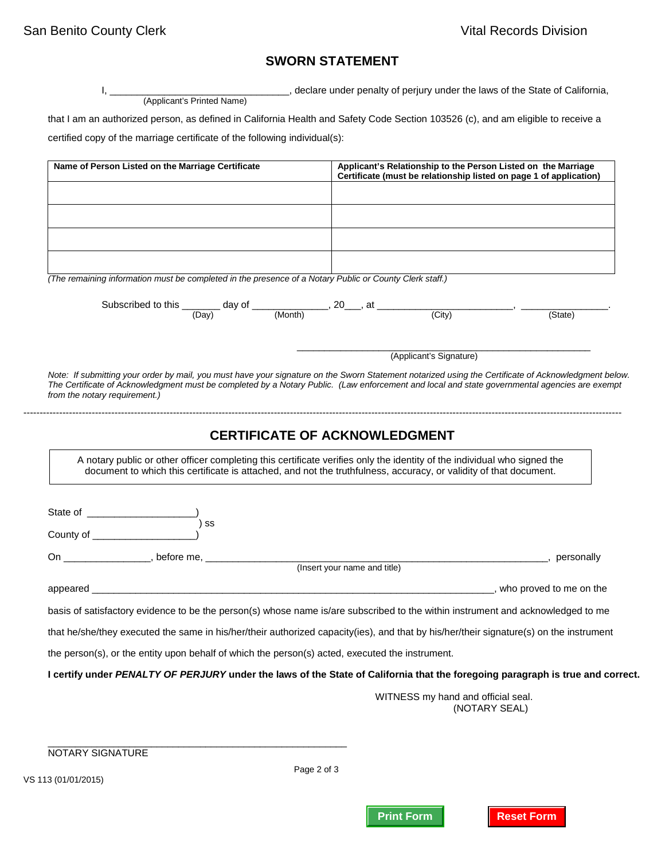## **SWORN STATEMENT**

I, \_\_\_\_\_\_\_\_\_\_\_\_\_\_\_\_\_\_\_\_\_\_\_\_\_\_\_\_\_\_\_\_\_, declare under penalty of perjury under the laws of the State of California, (Applicant's Printed Name)

that I am an authorized person, as defined in California Health and Safety Code Section 103526 (c), and am eligible to receive a certified copy of the marriage certificate of the following individual(s):

| Name of Person Listed on the Marriage Certificate                                                                                                                                                                                                                                                                                                                                                                                                                                                              |                                      |                                    | Applicant's Relationship to the Person Listed on the Marriage<br>Certificate (must be relationship listed on page 1 of application) |
|----------------------------------------------------------------------------------------------------------------------------------------------------------------------------------------------------------------------------------------------------------------------------------------------------------------------------------------------------------------------------------------------------------------------------------------------------------------------------------------------------------------|--------------------------------------|------------------------------------|-------------------------------------------------------------------------------------------------------------------------------------|
|                                                                                                                                                                                                                                                                                                                                                                                                                                                                                                                |                                      |                                    |                                                                                                                                     |
|                                                                                                                                                                                                                                                                                                                                                                                                                                                                                                                |                                      |                                    |                                                                                                                                     |
|                                                                                                                                                                                                                                                                                                                                                                                                                                                                                                                |                                      |                                    |                                                                                                                                     |
|                                                                                                                                                                                                                                                                                                                                                                                                                                                                                                                |                                      |                                    |                                                                                                                                     |
|                                                                                                                                                                                                                                                                                                                                                                                                                                                                                                                |                                      |                                    |                                                                                                                                     |
| (The remaining information must be completed in the presence of a Notary Public or County Clerk staff.)                                                                                                                                                                                                                                                                                                                                                                                                        |                                      |                                    |                                                                                                                                     |
|                                                                                                                                                                                                                                                                                                                                                                                                                                                                                                                |                                      |                                    |                                                                                                                                     |
| Subscribed to this $\frac{1}{(Day)}$ day of $\frac{1}{(Month)}$ , 20, at $\frac{1}{(City)}$ , $\frac{1}{(City)}$                                                                                                                                                                                                                                                                                                                                                                                               |                                      |                                    |                                                                                                                                     |
|                                                                                                                                                                                                                                                                                                                                                                                                                                                                                                                |                                      |                                    | $\overline{\text{(State)}}$                                                                                                         |
|                                                                                                                                                                                                                                                                                                                                                                                                                                                                                                                |                                      |                                    |                                                                                                                                     |
|                                                                                                                                                                                                                                                                                                                                                                                                                                                                                                                |                                      | (Applicant's Signature)            |                                                                                                                                     |
|                                                                                                                                                                                                                                                                                                                                                                                                                                                                                                                |                                      |                                    |                                                                                                                                     |
| Note: If submitting your order by mail, you must have your signature on the Sworn Statement notarized using the Certificate of Acknowledgment below.<br>The Certificate of Acknowledgment must be completed by a Notary Public. (Law enforcement and local and state governmental agencies are exempt                                                                                                                                                                                                          |                                      |                                    |                                                                                                                                     |
| from the notary requirement.)                                                                                                                                                                                                                                                                                                                                                                                                                                                                                  |                                      |                                    |                                                                                                                                     |
|                                                                                                                                                                                                                                                                                                                                                                                                                                                                                                                |                                      |                                    |                                                                                                                                     |
|                                                                                                                                                                                                                                                                                                                                                                                                                                                                                                                |                                      |                                    |                                                                                                                                     |
|                                                                                                                                                                                                                                                                                                                                                                                                                                                                                                                | <b>CERTIFICATE OF ACKNOWLEDGMENT</b> |                                    |                                                                                                                                     |
|                                                                                                                                                                                                                                                                                                                                                                                                                                                                                                                |                                      |                                    |                                                                                                                                     |
| A notary public or other officer completing this certificate verifies only the identity of the individual who signed the                                                                                                                                                                                                                                                                                                                                                                                       |                                      |                                    |                                                                                                                                     |
| document to which this certificate is attached, and not the truthfulness, accuracy, or validity of that document.                                                                                                                                                                                                                                                                                                                                                                                              |                                      |                                    |                                                                                                                                     |
|                                                                                                                                                                                                                                                                                                                                                                                                                                                                                                                |                                      |                                    |                                                                                                                                     |
|                                                                                                                                                                                                                                                                                                                                                                                                                                                                                                                |                                      |                                    |                                                                                                                                     |
| ົ) ss                                                                                                                                                                                                                                                                                                                                                                                                                                                                                                          |                                      |                                    |                                                                                                                                     |
|                                                                                                                                                                                                                                                                                                                                                                                                                                                                                                                |                                      |                                    |                                                                                                                                     |
|                                                                                                                                                                                                                                                                                                                                                                                                                                                                                                                |                                      |                                    |                                                                                                                                     |
| County of __________________<br>On ________________, before me, ______________________(Insert your name and title)                                                                                                                                                                                                                                                                                                                                                                                             |                                      |                                    |                                                                                                                                     |
|                                                                                                                                                                                                                                                                                                                                                                                                                                                                                                                |                                      |                                    |                                                                                                                                     |
|                                                                                                                                                                                                                                                                                                                                                                                                                                                                                                                |                                      |                                    |                                                                                                                                     |
|                                                                                                                                                                                                                                                                                                                                                                                                                                                                                                                |                                      |                                    |                                                                                                                                     |
|                                                                                                                                                                                                                                                                                                                                                                                                                                                                                                                |                                      |                                    |                                                                                                                                     |
|                                                                                                                                                                                                                                                                                                                                                                                                                                                                                                                |                                      |                                    |                                                                                                                                     |
| basis of satisfactory evidence to be the person(s) whose name is/are subscribed to the within instrument and acknowledged to me<br>that he/she/they executed the same in his/her/their authorized capacity(ies), and that by his/her/their signature(s) on the instrument<br>the person(s), or the entity upon behalf of which the person(s) acted, executed the instrument.<br>I certify under PENALTY OF PERJURY under the laws of the State of California that the foregoing paragraph is true and correct. |                                      |                                    |                                                                                                                                     |
|                                                                                                                                                                                                                                                                                                                                                                                                                                                                                                                |                                      | WITNESS my hand and official seal. |                                                                                                                                     |

NOTARY SIGNATURE

\_\_\_\_\_\_\_\_\_\_\_\_\_\_\_\_\_\_\_\_\_\_\_\_\_\_\_\_\_\_\_\_\_\_\_\_\_\_\_\_\_\_\_\_\_\_\_\_\_\_\_\_\_\_\_

Page 2 of 3